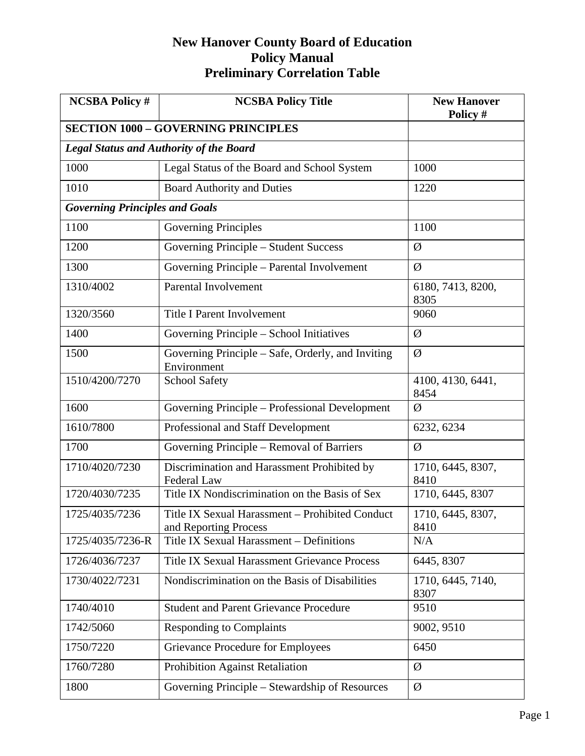| <b>NCSBA Policy #</b>                 | <b>NCSBA Policy Title</b>                                                | <b>New Hanover</b><br>Policy # |
|---------------------------------------|--------------------------------------------------------------------------|--------------------------------|
|                                       | <b>SECTION 1000 - GOVERNING PRINCIPLES</b>                               |                                |
|                                       | <b>Legal Status and Authority of the Board</b>                           |                                |
| 1000                                  | Legal Status of the Board and School System                              | 1000                           |
| 1010                                  | <b>Board Authority and Duties</b>                                        | 1220                           |
| <b>Governing Principles and Goals</b> |                                                                          |                                |
| 1100                                  | <b>Governing Principles</b>                                              | 1100                           |
| 1200                                  | Governing Principle - Student Success                                    | Ø                              |
| 1300                                  | Governing Principle - Parental Involvement                               | Ø                              |
| 1310/4002                             | Parental Involvement                                                     | 6180, 7413, 8200,<br>8305      |
| 1320/3560                             | <b>Title I Parent Involvement</b>                                        | 9060                           |
| 1400                                  | Governing Principle – School Initiatives                                 | Ø                              |
| 1500                                  | Governing Principle – Safe, Orderly, and Inviting<br>Environment         | Ø                              |
| 1510/4200/7270                        | <b>School Safety</b>                                                     | 4100, 4130, 6441,<br>8454      |
| 1600                                  | Governing Principle - Professional Development                           | Ø                              |
| 1610/7800                             | Professional and Staff Development                                       | 6232, 6234                     |
| 1700                                  | Governing Principle - Removal of Barriers                                | Ø                              |
| 1710/4020/7230                        | Discrimination and Harassment Prohibited by<br><b>Federal Law</b>        | 1710, 6445, 8307,<br>8410      |
| 1720/4030/7235                        | Title IX Nondiscrimination on the Basis of Sex                           | 1710, 6445, 8307               |
| 1725/4035/7236                        | Title IX Sexual Harassment - Prohibited Conduct<br>and Reporting Process | 1710, 6445, 8307,<br>8410      |
| 1725/4035/7236-R                      | Title IX Sexual Harassment - Definitions                                 | N/A                            |
| 1726/4036/7237                        | <b>Title IX Sexual Harassment Grievance Process</b>                      | 6445, 8307                     |
| 1730/4022/7231                        | Nondiscrimination on the Basis of Disabilities                           | 1710, 6445, 7140,<br>8307      |
| 1740/4010                             | <b>Student and Parent Grievance Procedure</b>                            | 9510                           |
| 1742/5060                             | <b>Responding to Complaints</b>                                          | 9002, 9510                     |
| 1750/7220                             | Grievance Procedure for Employees                                        | 6450                           |
| 1760/7280                             | <b>Prohibition Against Retaliation</b>                                   | Ø                              |
| 1800                                  | Governing Principle – Stewardship of Resources                           | Ø                              |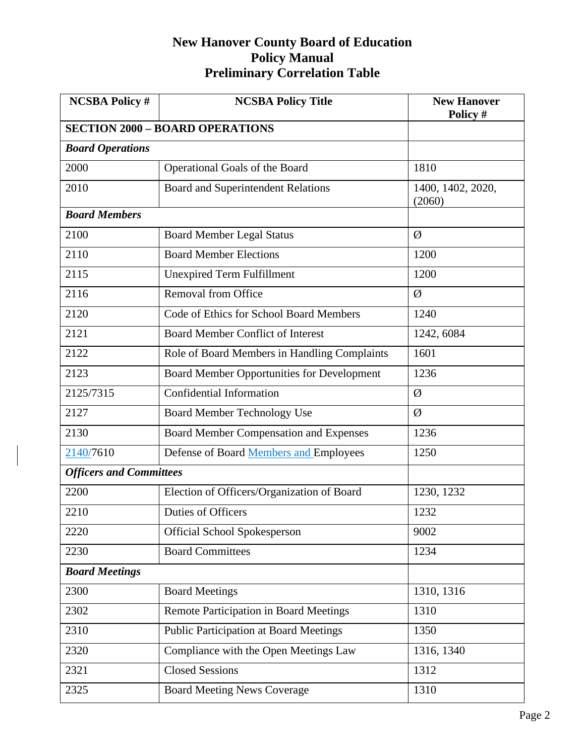| <b>NCSBA Policy #</b>          | <b>NCSBA Policy Title</b>                     | <b>New Hanover</b><br>Policy # |
|--------------------------------|-----------------------------------------------|--------------------------------|
|                                | <b>SECTION 2000 - BOARD OPERATIONS</b>        |                                |
| <b>Board Operations</b>        |                                               |                                |
| 2000                           | Operational Goals of the Board                | 1810                           |
| 2010                           | Board and Superintendent Relations            | 1400, 1402, 2020,<br>(2060)    |
| <b>Board Members</b>           |                                               |                                |
| 2100                           | <b>Board Member Legal Status</b>              | Ø                              |
| 2110                           | <b>Board Member Elections</b>                 | 1200                           |
| 2115                           | <b>Unexpired Term Fulfillment</b>             | 1200                           |
| 2116                           | Removal from Office                           | Ø                              |
| 2120                           | Code of Ethics for School Board Members       | 1240                           |
| 2121                           | <b>Board Member Conflict of Interest</b>      | 1242, 6084                     |
| 2122                           | Role of Board Members in Handling Complaints  | 1601                           |
| 2123                           | Board Member Opportunities for Development    | 1236                           |
| 2125/7315                      | Confidential Information                      | Ø                              |
| 2127                           | <b>Board Member Technology Use</b>            | Ø                              |
| 2130                           | <b>Board Member Compensation and Expenses</b> | 1236                           |
| 2140/7610                      | Defense of Board Members and Employees        | 1250                           |
| <b>Officers and Committees</b> |                                               |                                |
| 2200                           | Election of Officers/Organization of Board    | 1230, 1232                     |
| 2210                           | Duties of Officers                            | 1232                           |
| 2220                           | <b>Official School Spokesperson</b>           | 9002                           |
| 2230                           | <b>Board Committees</b>                       | 1234                           |
| <b>Board Meetings</b>          |                                               |                                |
| 2300                           | <b>Board Meetings</b>                         | 1310, 1316                     |
| 2302                           | Remote Participation in Board Meetings        | 1310                           |
| 2310                           | <b>Public Participation at Board Meetings</b> | 1350                           |
| 2320                           | Compliance with the Open Meetings Law         | 1316, 1340                     |
| 2321                           | <b>Closed Sessions</b>                        | 1312                           |
| 2325                           | <b>Board Meeting News Coverage</b>            | 1310                           |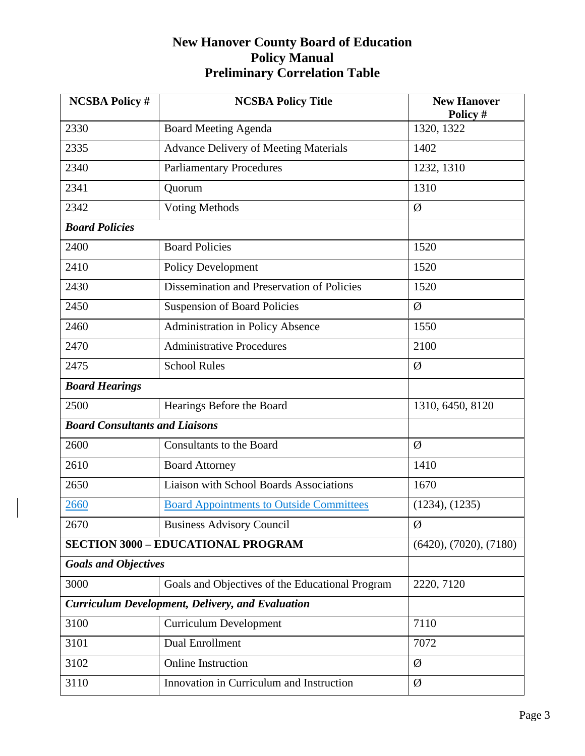| <b>NCSBA Policy #</b>                 | <b>NCSBA Policy Title</b>                               | <b>New Hanover</b><br>Policy # |
|---------------------------------------|---------------------------------------------------------|--------------------------------|
| 2330                                  | <b>Board Meeting Agenda</b>                             | 1320, 1322                     |
| 2335                                  | <b>Advance Delivery of Meeting Materials</b>            | 1402                           |
| 2340                                  | <b>Parliamentary Procedures</b>                         | 1232, 1310                     |
| 2341                                  | Quorum                                                  | 1310                           |
| 2342                                  | <b>Voting Methods</b>                                   | Ø                              |
| <b>Board Policies</b>                 |                                                         |                                |
| 2400                                  | <b>Board Policies</b>                                   | 1520                           |
| 2410                                  | <b>Policy Development</b>                               | 1520                           |
| 2430                                  | Dissemination and Preservation of Policies              | 1520                           |
| 2450                                  | <b>Suspension of Board Policies</b>                     | Ø                              |
| 2460                                  | <b>Administration in Policy Absence</b>                 | 1550                           |
| 2470                                  | <b>Administrative Procedures</b>                        | 2100                           |
| 2475                                  | <b>School Rules</b>                                     | Ø                              |
| <b>Board Hearings</b>                 |                                                         |                                |
| 2500                                  | Hearings Before the Board                               | 1310, 6450, 8120               |
| <b>Board Consultants and Liaisons</b> |                                                         |                                |
| 2600                                  | <b>Consultants to the Board</b>                         | Ø                              |
| 2610                                  | <b>Board Attorney</b>                                   | 1410                           |
| 2650                                  | <b>Liaison with School Boards Associations</b>          | 1670                           |
| 2660                                  | <b>Board Appointments to Outside Committees</b>         | (1234), (1235)                 |
| 2670                                  | <b>Business Advisory Council</b>                        | Ø                              |
|                                       | <b>SECTION 3000 - EDUCATIONAL PROGRAM</b>               | (6420), (7020), (7180)         |
| <b>Goals and Objectives</b>           |                                                         |                                |
| 3000                                  | Goals and Objectives of the Educational Program         | 2220, 7120                     |
|                                       | <b>Curriculum Development, Delivery, and Evaluation</b> |                                |
| 3100                                  | <b>Curriculum Development</b>                           | 7110                           |
| 3101                                  | <b>Dual Enrollment</b>                                  | 7072                           |
| 3102                                  | <b>Online Instruction</b>                               | Ø                              |
| 3110                                  | Innovation in Curriculum and Instruction                | Ø                              |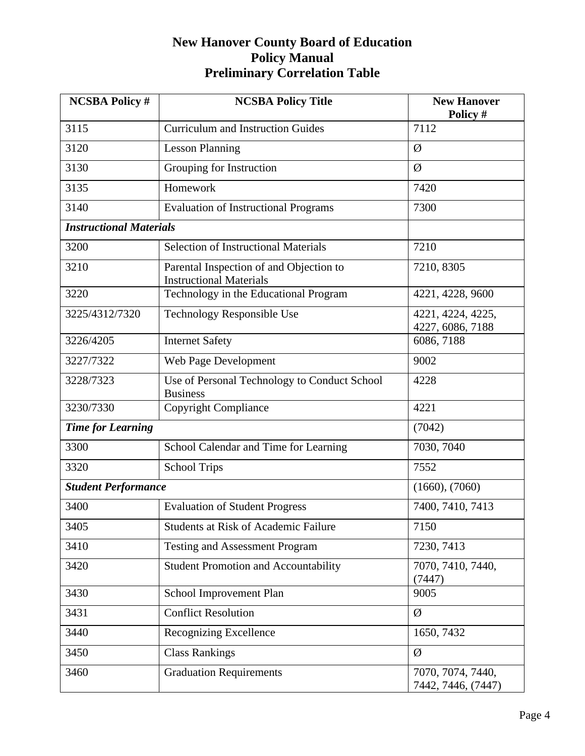| <b>NCSBA Policy #</b>          | <b>NCSBA Policy Title</b>                                                 | <b>New Hanover</b><br>Policy #          |
|--------------------------------|---------------------------------------------------------------------------|-----------------------------------------|
| 3115                           | <b>Curriculum and Instruction Guides</b>                                  | 7112                                    |
| 3120                           | <b>Lesson Planning</b>                                                    | Ø                                       |
| 3130                           | Grouping for Instruction                                                  | Ø                                       |
| 3135                           | Homework                                                                  | 7420                                    |
| 3140                           | <b>Evaluation of Instructional Programs</b>                               | 7300                                    |
| <b>Instructional Materials</b> |                                                                           |                                         |
| 3200                           | <b>Selection of Instructional Materials</b>                               | 7210                                    |
| 3210                           | Parental Inspection of and Objection to<br><b>Instructional Materials</b> | 7210, 8305                              |
| 3220                           | Technology in the Educational Program                                     | 4221, 4228, 9600                        |
| 3225/4312/7320                 | Technology Responsible Use                                                | 4221, 4224, 4225,<br>4227, 6086, 7188   |
| 3226/4205                      | <b>Internet Safety</b>                                                    | 6086, 7188                              |
| 3227/7322                      | Web Page Development                                                      | 9002                                    |
| 3228/7323                      | Use of Personal Technology to Conduct School<br><b>Business</b>           | 4228                                    |
| 3230/7330                      | Copyright Compliance                                                      | 4221                                    |
| <b>Time for Learning</b>       |                                                                           | (7042)                                  |
| 3300                           | School Calendar and Time for Learning                                     | 7030, 7040                              |
| 3320                           | <b>School Trips</b>                                                       | 7552                                    |
| <b>Student Performance</b>     |                                                                           | (1660), (7060)                          |
| 3400                           | <b>Evaluation of Student Progress</b>                                     | 7400, 7410, 7413                        |
| 3405                           | <b>Students at Risk of Academic Failure</b>                               | 7150                                    |
| 3410                           | <b>Testing and Assessment Program</b>                                     | 7230, 7413                              |
| 3420                           | <b>Student Promotion and Accountability</b>                               | 7070, 7410, 7440,<br>(7447)             |
| 3430                           | School Improvement Plan                                                   | 9005                                    |
| 3431                           | <b>Conflict Resolution</b>                                                | Ø                                       |
| 3440                           | <b>Recognizing Excellence</b>                                             | 1650, 7432                              |
| 3450                           | <b>Class Rankings</b>                                                     | Ø                                       |
| 3460                           | <b>Graduation Requirements</b>                                            | 7070, 7074, 7440,<br>7442, 7446, (7447) |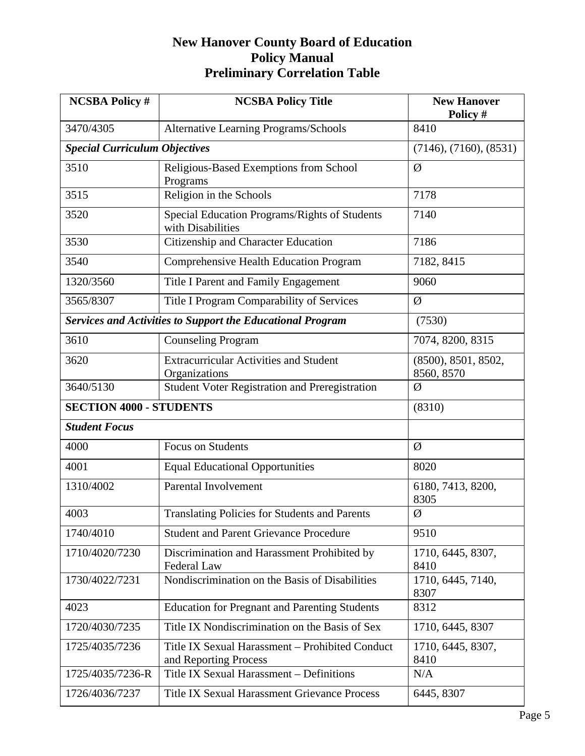| <b>NCSBA Policy #</b>                | <b>NCSBA Policy Title</b>                                                | <b>New Hanover</b><br>Policy #    |
|--------------------------------------|--------------------------------------------------------------------------|-----------------------------------|
| 3470/4305                            | <b>Alternative Learning Programs/Schools</b>                             | 8410                              |
| <b>Special Curriculum Objectives</b> |                                                                          | (7146), (7160), (8531)            |
| 3510                                 | Religious-Based Exemptions from School<br>Programs                       | Ø                                 |
| 3515                                 | Religion in the Schools                                                  | 7178                              |
| 3520                                 | Special Education Programs/Rights of Students<br>with Disabilities       | 7140                              |
| 3530                                 | Citizenship and Character Education                                      | 7186                              |
| 3540                                 | Comprehensive Health Education Program                                   | 7182, 8415                        |
| 1320/3560                            | Title I Parent and Family Engagement                                     | 9060                              |
| 3565/8307                            | Title I Program Comparability of Services                                | Ø                                 |
|                                      | <b>Services and Activities to Support the Educational Program</b>        | (7530)                            |
| 3610                                 | <b>Counseling Program</b>                                                | 7074, 8200, 8315                  |
| 3620                                 | <b>Extracurricular Activities and Student</b><br>Organizations           | (8500), 8501, 8502,<br>8560, 8570 |
| 3640/5130                            | <b>Student Voter Registration and Preregistration</b>                    | Ø                                 |
| <b>SECTION 4000 - STUDENTS</b>       |                                                                          | (8310)                            |
| <b>Student Focus</b>                 |                                                                          |                                   |
| 4000                                 | <b>Focus on Students</b>                                                 | Ø                                 |
| 4001                                 | <b>Equal Educational Opportunities</b>                                   | 8020                              |
| 1310/4002                            | Parental Involvement                                                     | 6180, 7413, 8200,<br>8305         |
| 4003                                 | <b>Translating Policies for Students and Parents</b>                     | Ø                                 |
| 1740/4010                            | <b>Student and Parent Grievance Procedure</b>                            | 9510                              |
| 1710/4020/7230                       | Discrimination and Harassment Prohibited by<br>Federal Law               | 1710, 6445, 8307,<br>8410         |
| 1730/4022/7231                       | Nondiscrimination on the Basis of Disabilities                           | 1710, 6445, 7140,<br>8307         |
| 4023                                 | <b>Education for Pregnant and Parenting Students</b>                     | 8312                              |
| 1720/4030/7235                       | Title IX Nondiscrimination on the Basis of Sex                           | 1710, 6445, 8307                  |
| 1725/4035/7236                       | Title IX Sexual Harassment - Prohibited Conduct<br>and Reporting Process | 1710, 6445, 8307,<br>8410         |
| 1725/4035/7236-R                     | Title IX Sexual Harassment - Definitions                                 | N/A                               |
| 1726/4036/7237                       | Title IX Sexual Harassment Grievance Process                             | 6445, 8307                        |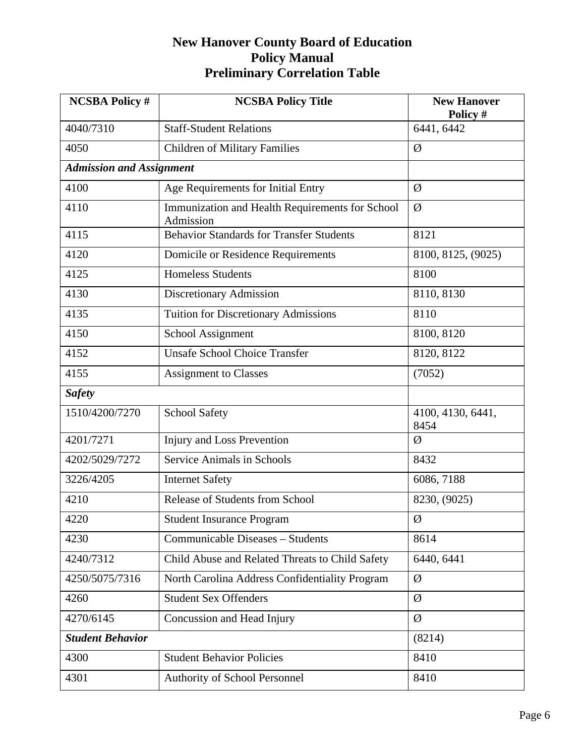| <b>NCSBA Policy #</b>           | <b>NCSBA Policy Title</b>                                    | <b>New Hanover</b><br>Policy # |
|---------------------------------|--------------------------------------------------------------|--------------------------------|
| 4040/7310                       | <b>Staff-Student Relations</b>                               | 6441, 6442                     |
| 4050                            | <b>Children of Military Families</b>                         | Ø                              |
| <b>Admission and Assignment</b> |                                                              |                                |
| 4100                            | Age Requirements for Initial Entry                           | Ø                              |
| 4110                            | Immunization and Health Requirements for School<br>Admission | Ø                              |
| 4115                            | <b>Behavior Standards for Transfer Students</b>              | 8121                           |
| 4120                            | Domicile or Residence Requirements                           | 8100, 8125, (9025)             |
| 4125                            | <b>Homeless Students</b>                                     | 8100                           |
| 4130                            | Discretionary Admission                                      | 8110, 8130                     |
| 4135                            | <b>Tuition for Discretionary Admissions</b>                  | 8110                           |
| 4150                            | School Assignment                                            | 8100, 8120                     |
| 4152                            | <b>Unsafe School Choice Transfer</b>                         | 8120, 8122                     |
| 4155                            | <b>Assignment to Classes</b>                                 | (7052)                         |
| <b>Safety</b>                   |                                                              |                                |
| 1510/4200/7270                  | <b>School Safety</b>                                         | 4100, 4130, 6441,<br>8454      |
| 4201/7271                       | Injury and Loss Prevention                                   | Ø                              |
| 4202/5029/7272                  | <b>Service Animals in Schools</b>                            | 8432                           |
| 3226/4205                       | <b>Internet Safety</b>                                       | 6086, 7188                     |
| 4210                            | Release of Students from School                              | 8230, (9025)                   |
| 4220                            | <b>Student Insurance Program</b>                             | Ø                              |
| 4230                            | Communicable Diseases - Students                             | 8614                           |
| 4240/7312                       | Child Abuse and Related Threats to Child Safety              | 6440, 6441                     |
| 4250/5075/7316                  | North Carolina Address Confidentiality Program               | Ø                              |
| 4260                            | <b>Student Sex Offenders</b>                                 | Ø                              |
| 4270/6145                       | Concussion and Head Injury                                   | Ø                              |
| <b>Student Behavior</b>         |                                                              | (8214)                         |
| 4300                            | <b>Student Behavior Policies</b>                             | 8410                           |
| 4301                            | Authority of School Personnel                                | 8410                           |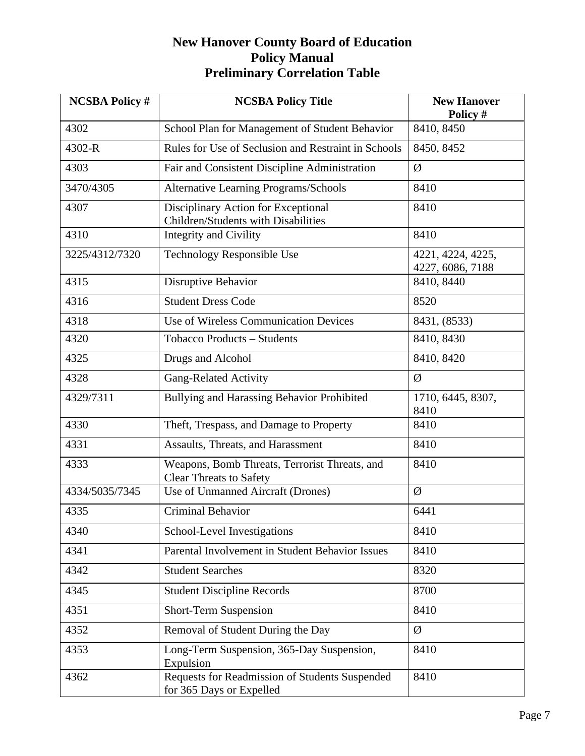| <b>NCSBA Policy #</b> | <b>NCSBA Policy Title</b>                                                       | <b>New Hanover</b><br>Policy #        |
|-----------------------|---------------------------------------------------------------------------------|---------------------------------------|
| 4302                  | School Plan for Management of Student Behavior                                  | 8410, 8450                            |
| 4302-R                | Rules for Use of Seclusion and Restraint in Schools                             | 8450, 8452                            |
| 4303                  | Fair and Consistent Discipline Administration                                   | Ø                                     |
| 3470/4305             | <b>Alternative Learning Programs/Schools</b>                                    | 8410                                  |
| 4307                  | Disciplinary Action for Exceptional<br>Children/Students with Disabilities      | 8410                                  |
| 4310                  | <b>Integrity and Civility</b>                                                   | 8410                                  |
| 3225/4312/7320        | Technology Responsible Use                                                      | 4221, 4224, 4225,<br>4227, 6086, 7188 |
| 4315                  | Disruptive Behavior                                                             | 8410, 8440                            |
| 4316                  | <b>Student Dress Code</b>                                                       | 8520                                  |
| 4318                  | Use of Wireless Communication Devices                                           | 8431, (8533)                          |
| 4320                  | Tobacco Products - Students                                                     | 8410, 8430                            |
| 4325                  | Drugs and Alcohol                                                               | 8410, 8420                            |
| 4328                  | <b>Gang-Related Activity</b>                                                    | Ø                                     |
| 4329/7311             | Bullying and Harassing Behavior Prohibited                                      | 1710, 6445, 8307,<br>8410             |
| 4330                  | Theft, Trespass, and Damage to Property                                         | 8410                                  |
| 4331                  | Assaults, Threats, and Harassment                                               | 8410                                  |
| 4333                  | Weapons, Bomb Threats, Terrorist Threats, and<br><b>Clear Threats to Safety</b> | 8410                                  |
| 4334/5035/7345        | Use of Unmanned Aircraft (Drones)                                               | Ø                                     |
| 4335                  | <b>Criminal Behavior</b>                                                        | 6441                                  |
| 4340                  | School-Level Investigations                                                     | 8410                                  |
| 4341                  | Parental Involvement in Student Behavior Issues                                 | 8410                                  |
| 4342                  | <b>Student Searches</b>                                                         | 8320                                  |
| 4345                  | <b>Student Discipline Records</b>                                               | 8700                                  |
| 4351                  | Short-Term Suspension                                                           | 8410                                  |
| 4352                  | Removal of Student During the Day                                               | Ø                                     |
| 4353                  | Long-Term Suspension, 365-Day Suspension,<br>Expulsion                          | 8410                                  |
| 4362                  | Requests for Readmission of Students Suspended<br>for 365 Days or Expelled      | 8410                                  |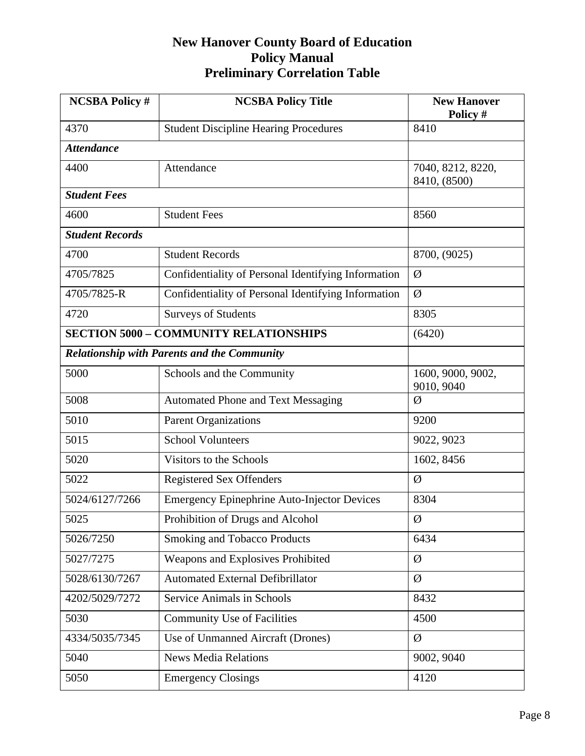| <b>NCSBA Policy #</b>  | <b>NCSBA Policy Title</b>                           | <b>New Hanover</b><br>Policy #    |
|------------------------|-----------------------------------------------------|-----------------------------------|
| 4370                   | <b>Student Discipline Hearing Procedures</b>        | 8410                              |
| <b>Attendance</b>      |                                                     |                                   |
| 4400                   | Attendance                                          | 7040, 8212, 8220,<br>8410, (8500) |
| <b>Student Fees</b>    |                                                     |                                   |
| 4600                   | <b>Student Fees</b>                                 | 8560                              |
| <b>Student Records</b> |                                                     |                                   |
| 4700                   | <b>Student Records</b>                              | 8700, (9025)                      |
| 4705/7825              | Confidentiality of Personal Identifying Information | Ø                                 |
| 4705/7825-R            | Confidentiality of Personal Identifying Information | Ø                                 |
| 4720                   | <b>Surveys of Students</b>                          | 8305                              |
|                        | <b>SECTION 5000 - COMMUNITY RELATIONSHIPS</b>       | (6420)                            |
|                        | <b>Relationship with Parents and the Community</b>  |                                   |
| 5000                   | Schools and the Community                           | 1600, 9000, 9002,<br>9010, 9040   |
| 5008                   | <b>Automated Phone and Text Messaging</b>           | Ø                                 |
| 5010                   | <b>Parent Organizations</b>                         | 9200                              |
| 5015                   | <b>School Volunteers</b>                            | 9022, 9023                        |
| 5020                   | Visitors to the Schools                             | 1602, 8456                        |
| 5022                   | <b>Registered Sex Offenders</b>                     | Ø                                 |
| 5024/6127/7266         | <b>Emergency Epinephrine Auto-Injector Devices</b>  | 8304                              |
| 5025                   | Prohibition of Drugs and Alcohol                    | Ø                                 |
| 5026/7250              | <b>Smoking and Tobacco Products</b>                 | 6434                              |
| 5027/7275              | Weapons and Explosives Prohibited                   | Ø                                 |
| 5028/6130/7267         | <b>Automated External Defibrillator</b>             | Ø                                 |
| 4202/5029/7272         | Service Animals in Schools                          | 8432                              |
| 5030                   | <b>Community Use of Facilities</b>                  | 4500                              |
| 4334/5035/7345         | Use of Unmanned Aircraft (Drones)                   | Ø                                 |
| 5040                   | <b>News Media Relations</b>                         | 9002, 9040                        |
| 5050                   | <b>Emergency Closings</b>                           | 4120                              |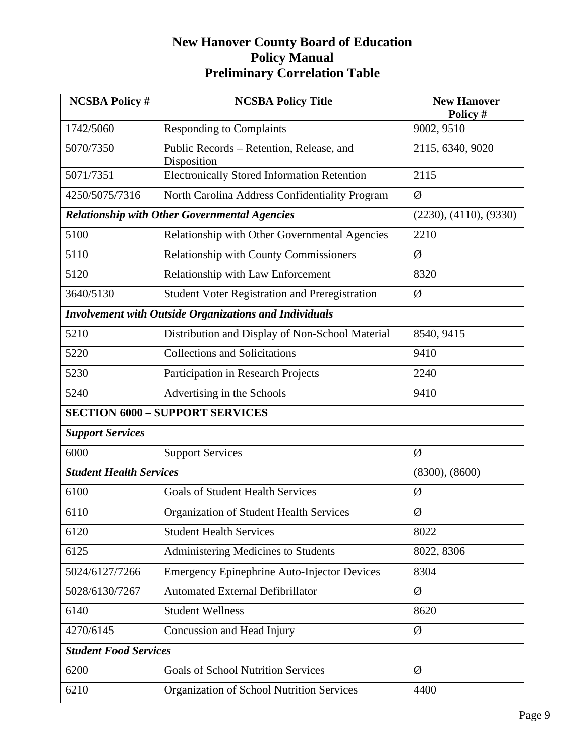| <b>NCSBA Policy #</b>          | <b>NCSBA Policy Title</b>                                     | <b>New Hanover</b><br>Policy # |
|--------------------------------|---------------------------------------------------------------|--------------------------------|
| 1742/5060                      | <b>Responding to Complaints</b>                               | 9002, 9510                     |
| 5070/7350                      | Public Records – Retention, Release, and<br>Disposition       | 2115, 6340, 9020               |
| 5071/7351                      | <b>Electronically Stored Information Retention</b>            | 2115                           |
| 4250/5075/7316                 | North Carolina Address Confidentiality Program                | Ø                              |
|                                | <b>Relationship with Other Governmental Agencies</b>          | (2230), (4110), (9330)         |
| 5100                           | Relationship with Other Governmental Agencies                 | 2210                           |
| 5110                           | Relationship with County Commissioners                        | Ø                              |
| 5120                           | Relationship with Law Enforcement                             | 8320                           |
| 3640/5130                      | <b>Student Voter Registration and Preregistration</b>         | Ø                              |
|                                | <b>Involvement with Outside Organizations and Individuals</b> |                                |
| 5210                           | Distribution and Display of Non-School Material               | 8540, 9415                     |
| 5220                           | <b>Collections and Solicitations</b>                          | 9410                           |
| 5230                           | Participation in Research Projects                            | 2240                           |
| 5240                           | Advertising in the Schools                                    | 9410                           |
|                                | <b>SECTION 6000 - SUPPORT SERVICES</b>                        |                                |
| <b>Support Services</b>        |                                                               |                                |
| 6000                           | <b>Support Services</b>                                       | Ø                              |
| <b>Student Health Services</b> |                                                               | (8300), (8600)                 |
| 6100                           | <b>Goals of Student Health Services</b>                       | Ø                              |
| 6110                           | Organization of Student Health Services                       | Ø                              |
| 6120                           | <b>Student Health Services</b>                                | 8022                           |
| 6125                           | Administering Medicines to Students                           | 8022, 8306                     |
| 5024/6127/7266                 | <b>Emergency Epinephrine Auto-Injector Devices</b>            | 8304                           |
| 5028/6130/7267                 | <b>Automated External Defibrillator</b>                       | Ø                              |
| 6140                           | <b>Student Wellness</b>                                       | 8620                           |
| 4270/6145                      | Concussion and Head Injury                                    | Ø                              |
| <b>Student Food Services</b>   |                                                               |                                |
| 6200                           | <b>Goals of School Nutrition Services</b>                     | Ø                              |
| 6210                           | Organization of School Nutrition Services                     | 4400                           |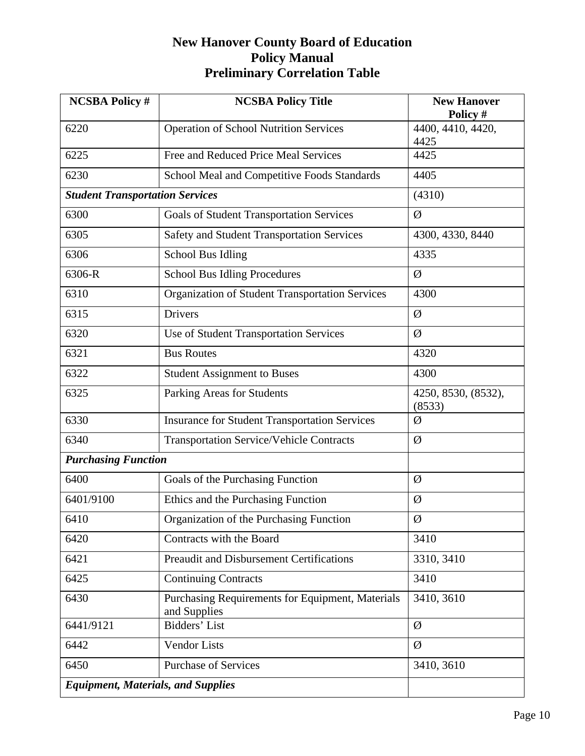| <b>NCSBA Policy #</b>                     | <b>NCSBA Policy Title</b>                                        | <b>New Hanover</b><br>Policy # |
|-------------------------------------------|------------------------------------------------------------------|--------------------------------|
| 6220                                      | <b>Operation of School Nutrition Services</b>                    | 4400, 4410, 4420,<br>4425      |
| 6225                                      | Free and Reduced Price Meal Services                             | 4425                           |
| 6230                                      | School Meal and Competitive Foods Standards                      | 4405                           |
| <b>Student Transportation Services</b>    |                                                                  | (4310)                         |
| 6300                                      | <b>Goals of Student Transportation Services</b>                  | Ø                              |
| 6305                                      | <b>Safety and Student Transportation Services</b>                | 4300, 4330, 8440               |
| 6306                                      | School Bus Idling                                                | 4335                           |
| 6306-R                                    | <b>School Bus Idling Procedures</b>                              | Ø                              |
| 6310                                      | <b>Organization of Student Transportation Services</b>           | 4300                           |
| 6315                                      | <b>Drivers</b>                                                   | Ø                              |
| 6320                                      | Use of Student Transportation Services                           | Ø                              |
| 6321                                      | <b>Bus Routes</b>                                                | 4320                           |
| 6322                                      | <b>Student Assignment to Buses</b>                               | 4300                           |
| 6325                                      | Parking Areas for Students                                       | 4250, 8530, (8532),<br>(8533)  |
| 6330                                      | <b>Insurance for Student Transportation Services</b>             | Ø                              |
| 6340                                      | <b>Transportation Service/Vehicle Contracts</b>                  | Ø                              |
| <b>Purchasing Function</b>                |                                                                  |                                |
| 6400                                      | Goals of the Purchasing Function                                 | Ø                              |
| 6401/9100                                 | Ethics and the Purchasing Function                               | Ø                              |
| 6410                                      | Organization of the Purchasing Function                          | Ø                              |
| 6420                                      | Contracts with the Board                                         | 3410                           |
| 6421                                      | <b>Preaudit and Disbursement Certifications</b>                  | 3310, 3410                     |
| 6425                                      | <b>Continuing Contracts</b>                                      | 3410                           |
| 6430                                      | Purchasing Requirements for Equipment, Materials<br>and Supplies | 3410, 3610                     |
| 6441/9121                                 | Bidders' List                                                    | Ø                              |
| 6442                                      | <b>Vendor Lists</b>                                              | Ø                              |
| 6450                                      | <b>Purchase of Services</b>                                      | 3410, 3610                     |
| <b>Equipment, Materials, and Supplies</b> |                                                                  |                                |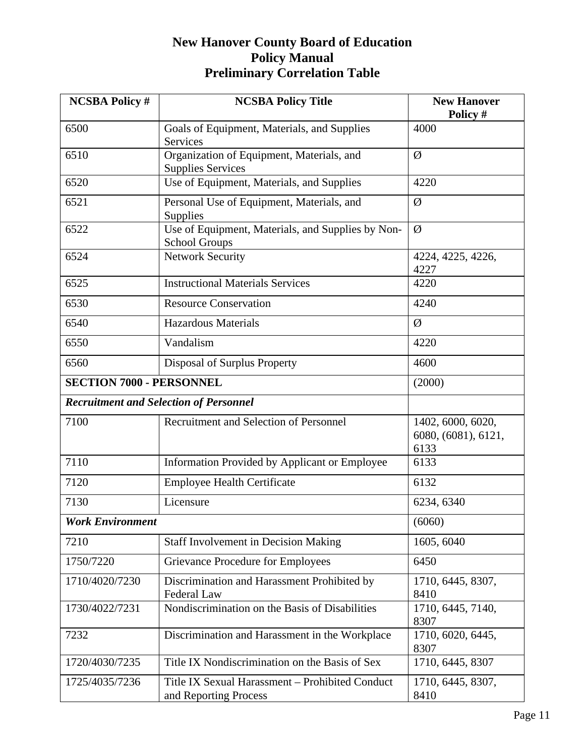| <b>NCSBA Policy #</b>           | <b>NCSBA Policy Title</b>                                                 | <b>New Hanover</b><br>Policy #                   |
|---------------------------------|---------------------------------------------------------------------------|--------------------------------------------------|
| 6500                            | Goals of Equipment, Materials, and Supplies<br>Services                   | 4000                                             |
| 6510                            | Organization of Equipment, Materials, and<br><b>Supplies Services</b>     | Ø                                                |
| 6520                            | Use of Equipment, Materials, and Supplies                                 | 4220                                             |
| 6521                            | Personal Use of Equipment, Materials, and<br>Supplies                     | Ø                                                |
| 6522                            | Use of Equipment, Materials, and Supplies by Non-<br><b>School Groups</b> | Ø                                                |
| 6524                            | <b>Network Security</b>                                                   | 4224, 4225, 4226,<br>4227                        |
| 6525                            | <b>Instructional Materials Services</b>                                   | 4220                                             |
| 6530                            | <b>Resource Conservation</b>                                              | 4240                                             |
| 6540                            | <b>Hazardous Materials</b>                                                | Ø                                                |
| 6550                            | Vandalism                                                                 | 4220                                             |
| 6560                            | Disposal of Surplus Property                                              | 4600                                             |
| <b>SECTION 7000 - PERSONNEL</b> |                                                                           | (2000)                                           |
|                                 | <b>Recruitment and Selection of Personnel</b>                             |                                                  |
| 7100                            | Recruitment and Selection of Personnel                                    | 1402, 6000, 6020,<br>6080, (6081), 6121,<br>6133 |
| 7110                            | Information Provided by Applicant or Employee                             | 6133                                             |
| 7120                            | <b>Employee Health Certificate</b>                                        | 6132                                             |
| 7130                            | Licensure                                                                 | 6234, 6340                                       |
| <b>Work Environment</b>         |                                                                           | (6060)                                           |
| 7210                            | <b>Staff Involvement in Decision Making</b>                               | 1605, 6040                                       |
| 1750/7220                       | <b>Grievance Procedure for Employees</b>                                  | 6450                                             |
| 1710/4020/7230                  | Discrimination and Harassment Prohibited by<br>Federal Law                | 1710, 6445, 8307,<br>8410                        |
| 1730/4022/7231                  | Nondiscrimination on the Basis of Disabilities                            | 1710, 6445, 7140,<br>8307                        |
| 7232                            | Discrimination and Harassment in the Workplace                            | 1710, 6020, 6445,<br>8307                        |
| 1720/4030/7235                  | Title IX Nondiscrimination on the Basis of Sex                            | 1710, 6445, 8307                                 |
| 1725/4035/7236                  | Title IX Sexual Harassment - Prohibited Conduct<br>and Reporting Process  | 1710, 6445, 8307,<br>8410                        |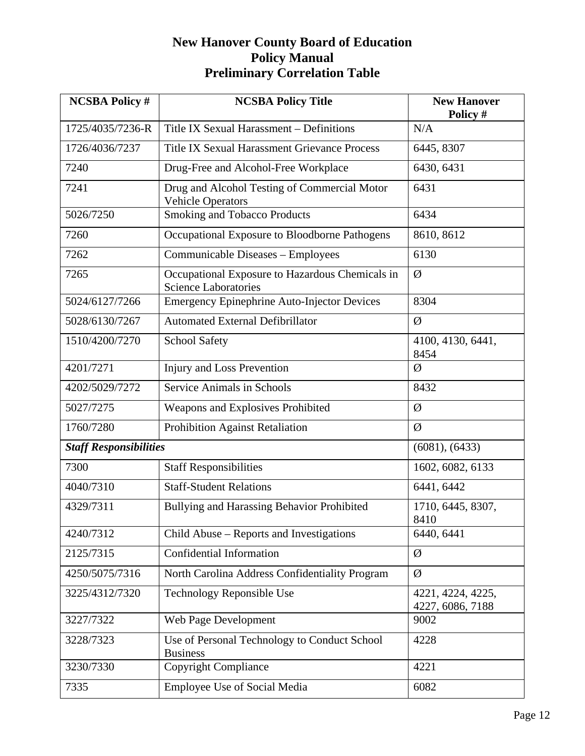| <b>NCSBA Policy #</b>         | <b>NCSBA Policy Title</b>                                                      | <b>New Hanover</b><br>Policy #        |
|-------------------------------|--------------------------------------------------------------------------------|---------------------------------------|
| 1725/4035/7236-R              | Title IX Sexual Harassment - Definitions                                       | N/A                                   |
| 1726/4036/7237                | <b>Title IX Sexual Harassment Grievance Process</b>                            | 6445, 8307                            |
| 7240                          | Drug-Free and Alcohol-Free Workplace                                           | 6430, 6431                            |
| 7241                          | Drug and Alcohol Testing of Commercial Motor<br><b>Vehicle Operators</b>       | 6431                                  |
| 5026/7250                     | <b>Smoking and Tobacco Products</b>                                            | 6434                                  |
| 7260                          | Occupational Exposure to Bloodborne Pathogens                                  | 8610, 8612                            |
| 7262                          | Communicable Diseases - Employees                                              | 6130                                  |
| 7265                          | Occupational Exposure to Hazardous Chemicals in<br><b>Science Laboratories</b> | Ø                                     |
| 5024/6127/7266                | <b>Emergency Epinephrine Auto-Injector Devices</b>                             | 8304                                  |
| 5028/6130/7267                | <b>Automated External Defibrillator</b>                                        | Ø                                     |
| 1510/4200/7270                | <b>School Safety</b>                                                           | 4100, 4130, 6441,<br>8454             |
| 4201/7271                     | Injury and Loss Prevention                                                     | Ø                                     |
| 4202/5029/7272                | <b>Service Animals in Schools</b>                                              | 8432                                  |
| 5027/7275                     | Weapons and Explosives Prohibited                                              | Ø                                     |
| 1760/7280                     | Prohibition Against Retaliation                                                | Ø                                     |
| <b>Staff Responsibilities</b> |                                                                                | (6081), (6433)                        |
| 7300                          | <b>Staff Responsibilities</b>                                                  | 1602, 6082, 6133                      |
| 4040/7310                     | <b>Staff-Student Relations</b>                                                 | 6441, 6442                            |
| 4329/7311                     | Bullying and Harassing Behavior Prohibited                                     | 1710, 6445, 8307,<br>8410             |
| 4240/7312                     | Child Abuse – Reports and Investigations                                       | 6440, 6441                            |
| 2125/7315                     | Confidential Information                                                       | Ø                                     |
| 4250/5075/7316                | North Carolina Address Confidentiality Program                                 | Ø                                     |
| 3225/4312/7320                | <b>Technology Reponsible Use</b>                                               | 4221, 4224, 4225,<br>4227, 6086, 7188 |
| 3227/7322                     | Web Page Development                                                           | 9002                                  |
| 3228/7323                     | Use of Personal Technology to Conduct School<br><b>Business</b>                | 4228                                  |
| 3230/7330                     | <b>Copyright Compliance</b>                                                    | 4221                                  |
| 7335                          | <b>Employee Use of Social Media</b>                                            | 6082                                  |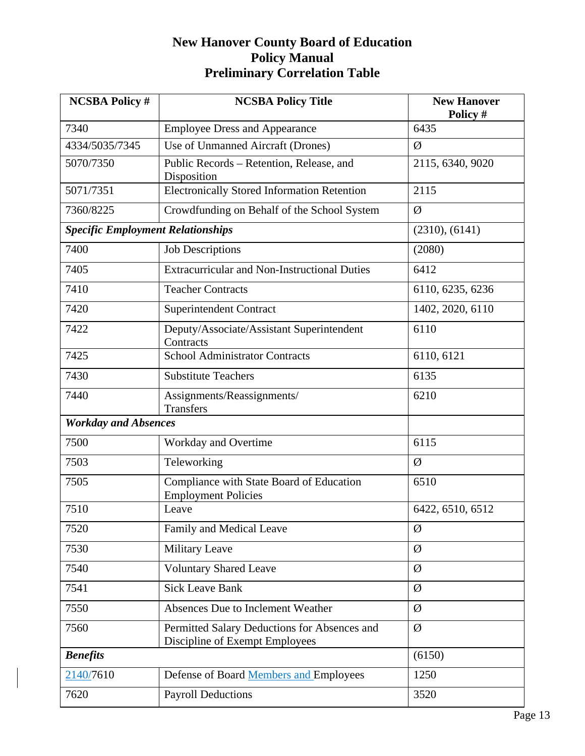| <b>NCSBA Policy #</b>                    | <b>NCSBA Policy Title</b>                                                      | <b>New Hanover</b><br>Policy # |
|------------------------------------------|--------------------------------------------------------------------------------|--------------------------------|
| 7340                                     | <b>Employee Dress and Appearance</b>                                           | 6435                           |
| 4334/5035/7345                           | Use of Unmanned Aircraft (Drones)                                              | Ø                              |
| 5070/7350                                | Public Records - Retention, Release, and<br>Disposition                        | 2115, 6340, 9020               |
| 5071/7351                                | <b>Electronically Stored Information Retention</b>                             | 2115                           |
| 7360/8225                                | Crowdfunding on Behalf of the School System                                    | Ø                              |
| <b>Specific Employment Relationships</b> |                                                                                | (2310), (6141)                 |
| 7400                                     | <b>Job Descriptions</b>                                                        | (2080)                         |
| 7405                                     | <b>Extracurricular and Non-Instructional Duties</b>                            | 6412                           |
| 7410                                     | <b>Teacher Contracts</b>                                                       | 6110, 6235, 6236               |
| 7420                                     | Superintendent Contract                                                        | 1402, 2020, 6110               |
| 7422                                     | Deputy/Associate/Assistant Superintendent<br>Contracts                         | 6110                           |
| 7425                                     | <b>School Administrator Contracts</b>                                          | 6110, 6121                     |
| 7430                                     | <b>Substitute Teachers</b>                                                     | 6135                           |
| 7440                                     | Assignments/Reassignments/<br><b>Transfers</b>                                 | 6210                           |
| <b>Workday and Absences</b>              |                                                                                |                                |
| 7500                                     | Workday and Overtime                                                           | 6115                           |
| 7503                                     | Teleworking                                                                    | Ø                              |
| 7505                                     | Compliance with State Board of Education<br><b>Employment Policies</b>         | 6510                           |
| 7510                                     | Leave                                                                          | 6422, 6510, 6512               |
| 7520                                     | Family and Medical Leave                                                       | Ø                              |
| 7530                                     | <b>Military Leave</b>                                                          | Ø                              |
| 7540                                     | <b>Voluntary Shared Leave</b>                                                  | Ø                              |
| 7541                                     | <b>Sick Leave Bank</b>                                                         | Ø                              |
| 7550                                     | Absences Due to Inclement Weather                                              | Ø                              |
| 7560                                     | Permitted Salary Deductions for Absences and<br>Discipline of Exempt Employees | Ø                              |
| <b>Benefits</b>                          |                                                                                | (6150)                         |
| 2140/7610                                | Defense of Board Members and Employees                                         | 1250                           |
| 7620                                     | <b>Payroll Deductions</b>                                                      | 3520                           |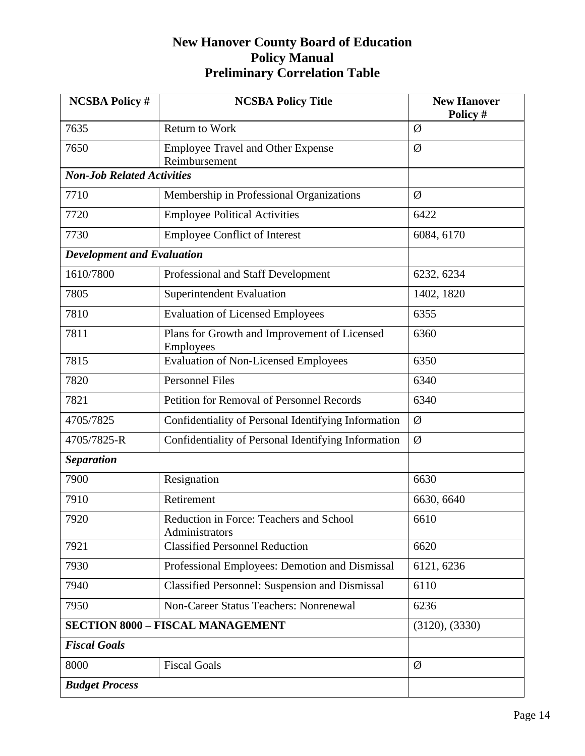| <b>NCSBA Policy #</b>                   | <b>NCSBA Policy Title</b>                                        | <b>New Hanover</b><br>Policy # |
|-----------------------------------------|------------------------------------------------------------------|--------------------------------|
| 7635                                    | <b>Return to Work</b>                                            | Ø                              |
| 7650                                    | <b>Employee Travel and Other Expense</b><br>Reimbursement        | Ø                              |
| <b>Non-Job Related Activities</b>       |                                                                  |                                |
| 7710                                    | Membership in Professional Organizations                         | Ø                              |
| 7720                                    | <b>Employee Political Activities</b>                             | 6422                           |
| 7730                                    | <b>Employee Conflict of Interest</b>                             | 6084, 6170                     |
| <b>Development and Evaluation</b>       |                                                                  |                                |
| 1610/7800                               | Professional and Staff Development                               | 6232, 6234                     |
| 7805                                    | <b>Superintendent Evaluation</b>                                 | 1402, 1820                     |
| 7810                                    | <b>Evaluation of Licensed Employees</b>                          | 6355                           |
| 7811                                    | Plans for Growth and Improvement of Licensed<br><b>Employees</b> | 6360                           |
| 7815                                    | <b>Evaluation of Non-Licensed Employees</b>                      | 6350                           |
| 7820                                    | <b>Personnel Files</b>                                           | 6340                           |
| 7821                                    | Petition for Removal of Personnel Records                        | 6340                           |
| 4705/7825                               | Confidentiality of Personal Identifying Information              | Ø                              |
| 4705/7825-R                             | Confidentiality of Personal Identifying Information              | Ø                              |
| <b>Separation</b>                       |                                                                  |                                |
| 7900                                    | Resignation                                                      | 6630                           |
| 7910                                    | Retirement                                                       | 6630, 6640                     |
| 7920                                    | Reduction in Force: Teachers and School<br>Administrators        | 6610                           |
| 7921                                    | <b>Classified Personnel Reduction</b>                            | 6620                           |
| 7930                                    | Professional Employees: Demotion and Dismissal                   | 6121, 6236                     |
| 7940                                    | <b>Classified Personnel: Suspension and Dismissal</b>            | 6110                           |
| 7950                                    | Non-Career Status Teachers: Nonrenewal                           | 6236                           |
| <b>SECTION 8000 - FISCAL MANAGEMENT</b> |                                                                  | (3120), (3330)                 |
| <b>Fiscal Goals</b>                     |                                                                  |                                |
| 8000                                    | <b>Fiscal Goals</b>                                              | Ø                              |
| <b>Budget Process</b>                   |                                                                  |                                |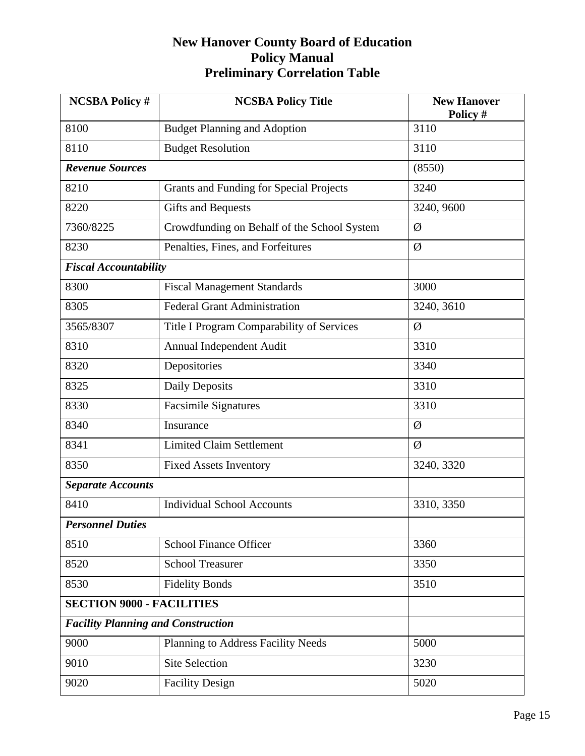| <b>NCSBA Policy #</b>                     | <b>NCSBA Policy Title</b>                   | <b>New Hanover</b><br>Policy # |  |  |
|-------------------------------------------|---------------------------------------------|--------------------------------|--|--|
| 8100                                      | <b>Budget Planning and Adoption</b>         | 3110                           |  |  |
| 8110                                      | <b>Budget Resolution</b>                    | 3110                           |  |  |
| <b>Revenue Sources</b>                    |                                             | (8550)                         |  |  |
| 8210                                      | Grants and Funding for Special Projects     | 3240                           |  |  |
| 8220                                      | <b>Gifts and Bequests</b>                   | 3240, 9600                     |  |  |
| 7360/8225                                 | Crowdfunding on Behalf of the School System | Ø                              |  |  |
| 8230                                      | Penalties, Fines, and Forfeitures           | Ø                              |  |  |
| <b>Fiscal Accountability</b>              |                                             |                                |  |  |
| 8300                                      | <b>Fiscal Management Standards</b>          | 3000                           |  |  |
| 8305                                      | <b>Federal Grant Administration</b>         | 3240, 3610                     |  |  |
| 3565/8307                                 | Title I Program Comparability of Services   | Ø                              |  |  |
| 8310                                      | Annual Independent Audit                    | 3310                           |  |  |
| 8320                                      | Depositories                                | 3340                           |  |  |
| 8325                                      | <b>Daily Deposits</b>                       | 3310                           |  |  |
| 8330                                      | <b>Facsimile Signatures</b>                 | 3310                           |  |  |
| 8340                                      | Insurance                                   | Ø                              |  |  |
| 8341                                      | <b>Limited Claim Settlement</b>             | Ø                              |  |  |
| 8350                                      | <b>Fixed Assets Inventory</b>               | 3240, 3320                     |  |  |
| <b>Separate Accounts</b>                  |                                             |                                |  |  |
| 8410                                      | <b>Individual School Accounts</b>           | 3310, 3350                     |  |  |
| <b>Personnel Duties</b>                   |                                             |                                |  |  |
| 8510                                      | <b>School Finance Officer</b>               | 3360                           |  |  |
| 8520                                      | <b>School Treasurer</b>                     | 3350                           |  |  |
| 8530                                      | <b>Fidelity Bonds</b>                       | 3510                           |  |  |
| <b>SECTION 9000 - FACILITIES</b>          |                                             |                                |  |  |
| <b>Facility Planning and Construction</b> |                                             |                                |  |  |
| 9000                                      | Planning to Address Facility Needs          | 5000                           |  |  |
| 9010                                      | <b>Site Selection</b>                       | 3230                           |  |  |
| 9020                                      | <b>Facility Design</b>                      | 5020                           |  |  |